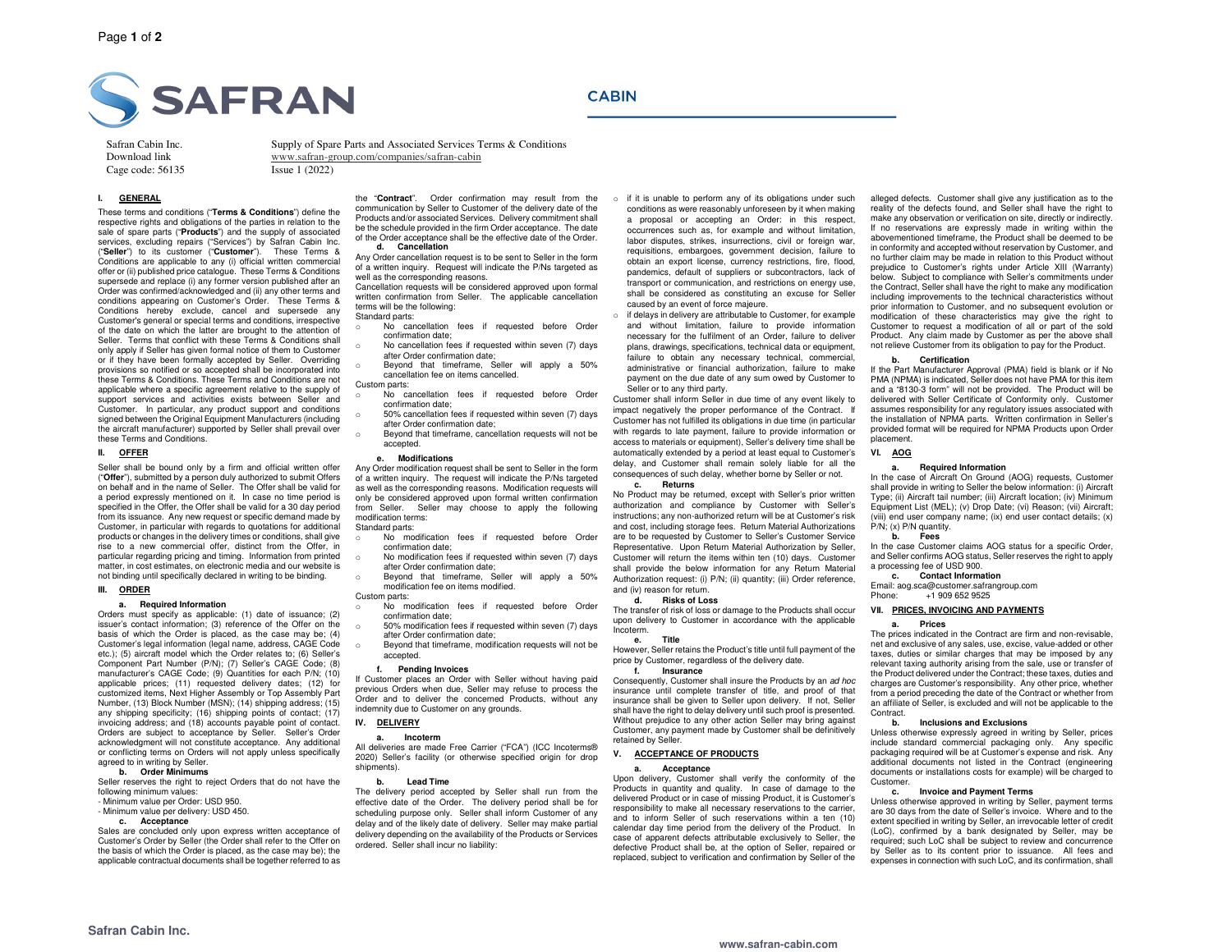

**CABIN** 

Safran Cabin Inc. Download link Cage code: 56135

# **I. GENERAL**

These terms and conditions ("**Terms & Conditions**") define the respective rights and obligations of the parties in relation to the sale of spare parts ("**Products**") and the supply of associated services, excluding repairs ("Services") by Safran Cabin Inc. ("**Seller**") to its customer ("**Customer**"). These Terms & Conditions are applicable to any (i) official written commercial offer or (ii) published price catalogue. These Terms & Conditions supersede and replace (i) any former version published after an Order was confirmed/acknowledged and (ii) any other terms and conditions appearing on Customer's Order. These Terms & Conditions hereby exclude, cancel and supersede any Customer's general or special terms and conditions, irrespective of the date on which the latter are brought to the attention of Seller. Terms that conflict with these Terms & Conditions shall only apply if Seller has given formal notice of them to Customer or if they have been formally accepted by Seller. Overriding provisions so notified or so accepted shall be incorporated into these Terms & Conditions. These Terms and Conditions are not applicable where a specific agreement relative to the supply of support services and activities exists between Seller and Customer. In particular, any product support and conditions signed between the Original Equipment Manufacturers (including the aircraft manufacturer) supported by Seller shall prevail over these Terms and Conditions.

## **II. OFFER**

Seller shall be bound only by a firm and official written offer ("**Offer**"), submitted by a person duly authorized to submit Offers on behalf and in the name of Seller. The Offer shall be valid for a period expressly mentioned on it. In case no time period is specified in the Offer, the Offer shall be valid for a 30 day period from its issuance. Any new request or specific demand made by Customer, in particular with regards to quotations for additional products or changes in the delivery times or conditions, shall give rise to a new commercial offer, distinct from the Offer, in particular regarding pricing and timing. Information from printed matter, in cost estimates, on electronic media and our website is not binding until specifically declared in writing to be binding.

#### **III. ORDER**

#### **a. Required Information**

 Orders must specify as applicable: (1) date of issuance; (2) issuer's contact information; (3) reference of the Offer on the basis of which the Order is placed, as the case may be; (4) Customer's legal information (legal name, address, CAGE Code etc.); (5) aircraft model which the Order relates to; (6) Seller's Component Part Number (P/N); (7) Seller's CAGE Code; (8) manufacturer's CAGE Code; (9) Quantities for each P/N; (10) applicable prices; (11) requested delivery dates; (12) for customized items, Next Higher Assembly or Top Assembly Part Number, (13) Block Number (MSN); (14) shipping address; (15) any shipping specificity; (16) shipping points of contact; (17) invoicing address; and (18) accounts payable point of contact. Orders are subject to acceptance by Seller. Seller's Order acknowledgment will not constitute acceptance. Any additional or conflicting terms on Orders will not apply unless specifically agreed to in writing by Seller.

#### **b. Order Minimums**

 Seller reserves the right to reject Orders that do not have the following minimum values:

- Minimum value per Order: USD 950.

- Minimum value per delivery: USD 450.

#### **c. Acceptance**

 Sales are concluded only upon express written acceptance of Customer's Order by Seller (the Order shall refer to the Offer on the basis of which the Order is placed, as the case may be); the applicable contractual documents shall be together referred to as the "**Contract**". Order confirmation may result from the communication by Seller to Customer of the delivery date of the Products and/or associated Services. Delivery commitment shall be the schedule provided in the firm Order acceptance. The date of the Order acceptance shall be the effective date of the Order. **d. Cancellation** 

Any Order cancellation request is to be sent to Seller in the form

Supply of Spare Parts and Associated Services Terms & Conditions

www.safran-group.com/companies/safran-cabin

Issue 1 (2022)

 of a written inquiry. Request will indicate the P/Ns targeted as well as the corresponding reasons. Cancellation requests will be considered approved upon formal

 written confirmation from Seller. The applicable cancellation terms will be the following: Standard parts:

- o No cancellation fees if requested before Order confirmation date;
- o No cancellation fees if requested within seven (7) days after Order confirmation date;
- o Beyond that timeframe, Seller will apply a 50% cancellation fee on items cancelled.
- Custom parts: o No cancellation fees if requested before Order
- confirmation date; o 50% cancellation fees if requested within seven (7) days
- after Order confirmation date; o Beyond that timeframe, cancellation requests will not be
- accepted.

## **e. Modifications**

 Any Order modification request shall be sent to Seller in the form of a written inquiry. The request will indicate the P/Ns targeted as well as the corresponding reasons. Modification requests will only be considered approved upon formal written confirmation from Seller. Seller may choose to apply the following modification terms:

## Standard parts:

- o No modification fees if requested before Order confirmation date;
- o No modification fees if requested within seven (7) days after Order confirmation date;
- o Beyond that timeframe, Seller will apply a 50% modification fee on items modified.
- Custom parts: o No modification fees if requested before Order confirmation date;
- o 50% modification fees if requested within seven (7) days after Order confirmation date;
- o Beyond that timeframe, modification requests will not be accepted.

## **f. Pending Invoices**

 If Customer places an Order with Seller without having paid previous Orders when due, Seller may refuse to process the Order and to deliver the concerned Products, without any indemnity due to Customer on any grounds.

## **IV. DELIVERY**

#### **a. Incoterm**

 All deliveries are made Free Carrier ("FCA") (ICC Incoterms® 2020) Seller's facility (or otherwise specified origin for drop shipments).

#### **b. Lead Time**

 The delivery period accepted by Seller shall run from the effective date of the Order. The delivery period shall be for scheduling purpose only. Seller shall inform Customer of any delay and of the likely date of delivery. Seller may make partial delivery depending on the availability of the Products or Services ordered. Seller shall incur no liability:

o if it is unable to perform any of its obligations under such conditions as were reasonably unforeseen by it when making a proposal or accepting an Order: in this respect, occurrences such as, for example and without limitation, labor disputes, strikes, insurrections, civil or foreign war, requisitions, embargoes, government decision, failure to obtain an export license, currency restrictions, fire, flood, pandemics, default of suppliers or subcontractors, lack of transport or communication, and restrictions on energy use, shall be considered as constituting an excuse for Seller caused by an event of force majeure.

o if delays in delivery are attributable to Customer, for example and without limitation, failure to provide information necessary for the fulfilment of an Order, failure to deliver plans, drawings, specifications, technical data or equipment, failure to obtain any necessary technical, commercial, administrative or financial authorization, failure to make payment on the due date of any sum owed by Customer to Seller or to any third party.

 Customer shall inform Seller in due time of any event likely to impact negatively the proper performance of the Contract. If Customer has not fulfilled its obligations in due time (in particular with regards to late payment, failure to provide information or access to materials or equipment), Seller's delivery time shall be automatically extended by a period at least equal to Customer's delay, and Customer shall remain solely liable for all the consequences of such delay, whether borne by Seller or not.

#### **c. Returns**

 No Product may be returned, except with Seller's prior written authorization and compliance by Customer with Seller's instructions; any non-authorized return will be at Customer's risk and cost, including storage fees. Return Material Authorizations are to be requested by Customer to Seller's Customer Service Representative. Upon Return Material Authorization by Seller, Customer will return the items within ten (10) days. Customer shall provide the below information for any Return Material Authorization request: (i) P/N; (ii) quantity; (iii) Order reference, and (iv) reason for return.

#### **d. Risks of Loss**

 The transfer of risk of loss or damage to the Products shall occur upon delivery to Customer in accordance with the applicable Incoterm.

## **e. Title**

 However, Seller retains the Product's title until full payment of the price by Customer, regardless of the delivery date.

### **f. Insurance**

Consequently, Customer shall insure the Products by an ad hoc insurance until complete transfer of title, and proof of that insurance shall be given to Seller upon delivery. If not, Seller shall have the right to delay delivery until such proof is presented. Without prejudice to any other action Seller may bring against Customer, any payment made by Customer shall be definitively retained by Seller.

#### **V. ACCEPTANCE OF PRODUCTS**

#### **a. Acceptance**

 Upon delivery, Customer shall verify the conformity of the Products in quantity and quality. In case of damage to the delivered Product or in case of missing Product, it is Customer's responsibility to make all necessary reservations to the carrier, and to inform Seller of such reservations within a ten (10) calendar day time period from the delivery of the Product. In case of apparent defects attributable exclusively to Seller, the defective Product shall be, at the option of Seller, repaired or replaced, subject to verification and confirmation by Seller of the

alleged defects. Customer shall give any justification as to the reality of the defects found, and Seller shall have the right to make any observation or verification on site, directly or indirectly. If no reservations are expressly made in writing within the abovementioned timeframe, the Product shall be deemed to be in conformity and accepted without reservation by Customer, and no further claim may be made in relation to this Product without prejudice to Customer's rights under Article XIII (Warranty) below. Subject to compliance with Seller's commitments under the Contract, Seller shall have the right to make any modification including improvements to the technical characteristics without prior information to Customer, and no subsequent evolution or modification of these characteristics may give the right to Customer to request a modification of all or part of the sold Product. Any claim made by Customer as per the above shall not relieve Customer from its obligation to pay for the Product.

#### **b. Certification**

 If the Part Manufacturer Approval (PMA) field is blank or if No PMA (NPMA) is indicated, Seller does not have PMA for this item and a "8130-3 form" will not be provided. The Product will be delivered with Seller Certificate of Conformity only. Customer assumes responsibility for any regulatory issues associated with the installation of NPMA parts. Written confirmation in Seller's provided format will be required for NPMA Products upon Order placement.

#### **VI. AOG**

# **a. Required Information**

 In the case of Aircraft On Ground (AOG) requests, Customer shall provide in writing to Seller the below information: (i) Aircraft Type; (ii) Aircraft tail number; (iii) Aircraft location; (iv) Minimum Equipment List (MEL); (v) Drop Date; (vi) Reason; (vii) Aircraft; (viii) end user company name; (ix) end user contact details; (x) P/N; (x) P/N quantity.

## **b. Fees**

 In the case Customer claims AOG status for a specific Order, and Seller confirms AOG status, Seller reserves the right to apply a processing fee of USD 900.

# **c. Contact Information**

 Email: aog.sca@customer.safrangroup.com Phone: +1 909 652 9525

# **VII. PRICES, INVOICING AND PAYMENTS**

#### **a. Prices**

 The prices indicated in the Contract are firm and non-revisable, net and exclusive of any sales, use, excise, value-added or other taxes, duties or similar charges that may be imposed by any relevant taxing authority arising from the sale, use or transfer of the Product delivered under the Contract; these taxes, duties and charges are Customer's responsibility. Any other price, whether from a period preceding the date of the Contract or whether from an affiliate of Seller, is excluded and will not be applicable to the Contract.

#### $b.$ **b. Inclusions and Exclusions**

 Unless otherwise expressly agreed in writing by Seller, prices include standard commercial packaging only. Any specific packaging required will be at Customer's expense and risk. Any additional documents not listed in the Contract (engineering documents or installations costs for example) will be charged to Customer.

# **c. Invoice and Payment Terms**

 Unless otherwise approved in writing by Seller, payment terms are 30 days from the date of Seller's invoice. Where and to the extent specified in writing by Seller, an irrevocable letter of credit (LoC), confirmed by a bank designated by Seller, may be required; such LoC shall be subject to review and concurrence by Seller as to its content prior to issuance. All fees and expenses in connection with such LoC, and its confirmation, shall